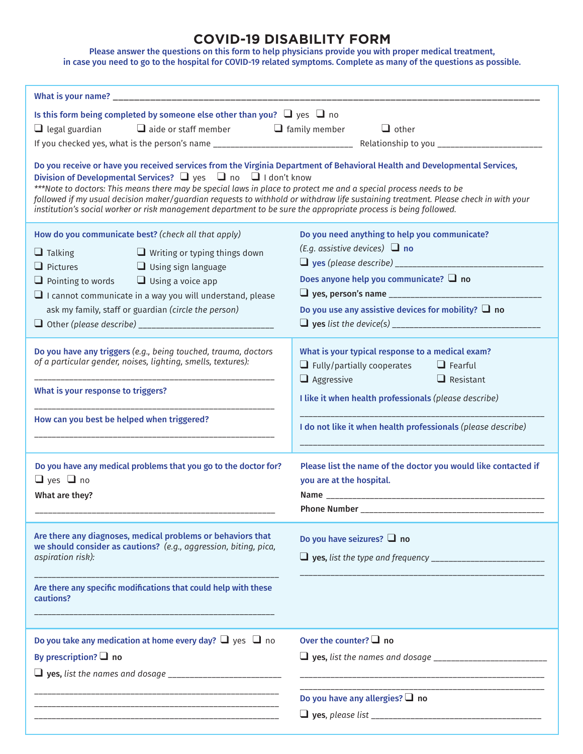## **COVID-19 DISABILITY FORM**

Please answer the questions on this form to help physicians provide you with proper medical treatment, in case you need to go to the hospital for COVID-19 related symptoms. Complete as many of the questions as possible.

|                                                                                                                                                                      | Is this form being completed by someone else other than you? $\Box$ yes $\Box$ no                                                                                                                                                                                                                                    |                             |                                                                                                                                                                                                                                                                  |  |
|----------------------------------------------------------------------------------------------------------------------------------------------------------------------|----------------------------------------------------------------------------------------------------------------------------------------------------------------------------------------------------------------------------------------------------------------------------------------------------------------------|-----------------------------|------------------------------------------------------------------------------------------------------------------------------------------------------------------------------------------------------------------------------------------------------------------|--|
| $\Box$ legal guardian $\Box$ aide or staff member $\Box$ family member                                                                                               |                                                                                                                                                                                                                                                                                                                      |                             | $\Box$ other                                                                                                                                                                                                                                                     |  |
|                                                                                                                                                                      |                                                                                                                                                                                                                                                                                                                      |                             |                                                                                                                                                                                                                                                                  |  |
|                                                                                                                                                                      | Division of Developmental Services? $\Box$ yes $\Box$ no $\Box$ I don't know<br>***Note to doctors: This means there may be special laws in place to protect me and a special process needs to be<br>institution's social worker or risk management department to be sure the appropriate process is being followed. |                             | Do you receive or have you received services from the Virginia Department of Behavioral Health and Developmental Services,<br>followed if my usual decision maker/guardian requests to withhold or withdraw life sustaining treatment. Please check in with your |  |
|                                                                                                                                                                      | How do you communicate best? (check all that apply)                                                                                                                                                                                                                                                                  |                             | Do you need anything to help you communicate?                                                                                                                                                                                                                    |  |
| $\Box$ Talking                                                                                                                                                       | $\Box$ Writing or typing things down                                                                                                                                                                                                                                                                                 |                             | (E.g. assistive devices) $\Box$ no                                                                                                                                                                                                                               |  |
| $\Box$ Pictures                                                                                                                                                      | <b>Example 12 Using sign language</b>                                                                                                                                                                                                                                                                                |                             |                                                                                                                                                                                                                                                                  |  |
| $\Box$ Pointing to words $\Box$ Using a voice app                                                                                                                    |                                                                                                                                                                                                                                                                                                                      |                             | Does anyone help you communicate? $\Box$ no                                                                                                                                                                                                                      |  |
| $\Box$ I cannot communicate in a way you will understand, please                                                                                                     |                                                                                                                                                                                                                                                                                                                      |                             |                                                                                                                                                                                                                                                                  |  |
| ask my family, staff or guardian (circle the person)                                                                                                                 |                                                                                                                                                                                                                                                                                                                      |                             | Do you use any assistive devices for mobility? $\Box$ no                                                                                                                                                                                                         |  |
|                                                                                                                                                                      |                                                                                                                                                                                                                                                                                                                      |                             |                                                                                                                                                                                                                                                                  |  |
| Do you have any triggers (e.g., being touched, trauma, doctors<br>of a particular gender, noises, lighting, smells, textures):<br>What is your response to triggers? |                                                                                                                                                                                                                                                                                                                      | $\Box$ Aggressive           | What is your typical response to a medical exam?<br>$\Box$ Fully/partially cooperates<br>$\Box$ Fearful<br>$\Box$ Resistant<br>I like it when health professionals (please describe)                                                                             |  |
| How can you best be helped when triggered?                                                                                                                           |                                                                                                                                                                                                                                                                                                                      |                             | I do not like it when health professionals (please describe)                                                                                                                                                                                                     |  |
| Do you have any medical problems that you go to the doctor for?                                                                                                      |                                                                                                                                                                                                                                                                                                                      |                             | Please list the name of the doctor you would like contacted if                                                                                                                                                                                                   |  |
| $\Box$ yes $\Box$ no                                                                                                                                                 |                                                                                                                                                                                                                                                                                                                      |                             | you are at the hospital.                                                                                                                                                                                                                                         |  |
| What are they?                                                                                                                                                       |                                                                                                                                                                                                                                                                                                                      |                             |                                                                                                                                                                                                                                                                  |  |
|                                                                                                                                                                      |                                                                                                                                                                                                                                                                                                                      |                             | Phone Number _                                                                                                                                                                                                                                                   |  |
| Are there any diagnoses, medical problems or behaviors that<br>we should consider as cautions? (e.g., aggression, biting, pica,<br>aspiration risk):                 |                                                                                                                                                                                                                                                                                                                      |                             | Do you have seizures? $\Box$ no                                                                                                                                                                                                                                  |  |
|                                                                                                                                                                      |                                                                                                                                                                                                                                                                                                                      |                             |                                                                                                                                                                                                                                                                  |  |
|                                                                                                                                                                      |                                                                                                                                                                                                                                                                                                                      |                             |                                                                                                                                                                                                                                                                  |  |
| cautions?                                                                                                                                                            | Are there any specific modifications that could help with these                                                                                                                                                                                                                                                      |                             |                                                                                                                                                                                                                                                                  |  |
| Do you take any medication at home every day? $\Box$ yes $\Box$ no                                                                                                   |                                                                                                                                                                                                                                                                                                                      | Over the counter? $\Box$ no |                                                                                                                                                                                                                                                                  |  |
| By prescription? $\Box$ no                                                                                                                                           |                                                                                                                                                                                                                                                                                                                      |                             |                                                                                                                                                                                                                                                                  |  |
|                                                                                                                                                                      |                                                                                                                                                                                                                                                                                                                      |                             |                                                                                                                                                                                                                                                                  |  |
|                                                                                                                                                                      |                                                                                                                                                                                                                                                                                                                      |                             | Do you have any allergies? $\Box$ no                                                                                                                                                                                                                             |  |
|                                                                                                                                                                      | <u> 1999 - Johann Harry Harry Harry Harry Harry Harry Harry Harry Harry Harry Harry Harry Harry Harry Harry Harry</u>                                                                                                                                                                                                |                             |                                                                                                                                                                                                                                                                  |  |
|                                                                                                                                                                      |                                                                                                                                                                                                                                                                                                                      |                             |                                                                                                                                                                                                                                                                  |  |